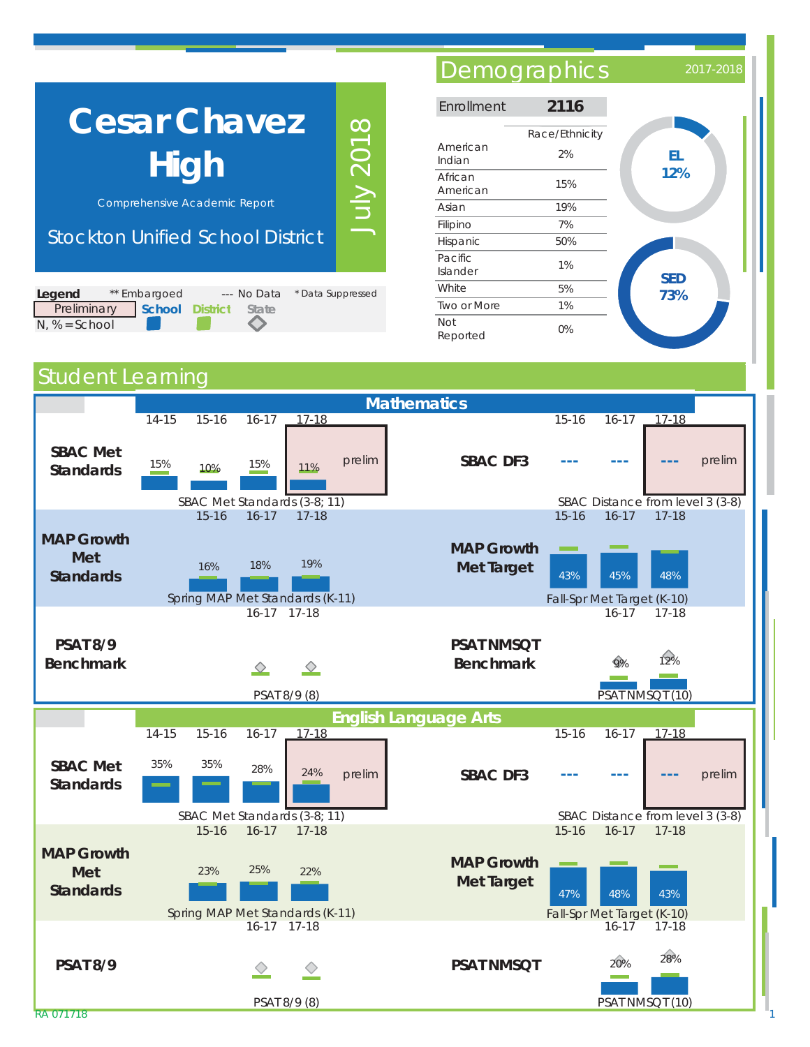| <b>Cesar Chavez</b><br>High<br><b>Comprehensive Academic Report</b><br><b>Stockton Unified School District</b> | $\infty$<br><b>NIDT</b> |  |
|----------------------------------------------------------------------------------------------------------------|-------------------------|--|
| Legend<br>** Embargoed<br>--- No Data                                                                          | * Data Suppressed       |  |
| Preliminary<br><b>School District</b><br><b>State</b>                                                          |                         |  |

◇

## Demographics 2017-201

| Enrollment          | 2116                 |            |
|---------------------|----------------------|------------|
| American<br>Indian  | Race/Ethnicity<br>2% | EL         |
| African<br>American | 15%                  | 12%        |
| Asian               | 19%                  |            |
| Filipino            | 7%                   |            |
| Hispanic            | 50%                  |            |
| Pacific<br>Islander | 1%                   | <b>SED</b> |
| White               | 5%                   | 73%        |
| Two or More         | 1%                   |            |
| Not<br>Reported     | 0%                   |            |

## **Student Learning**

N, % = School